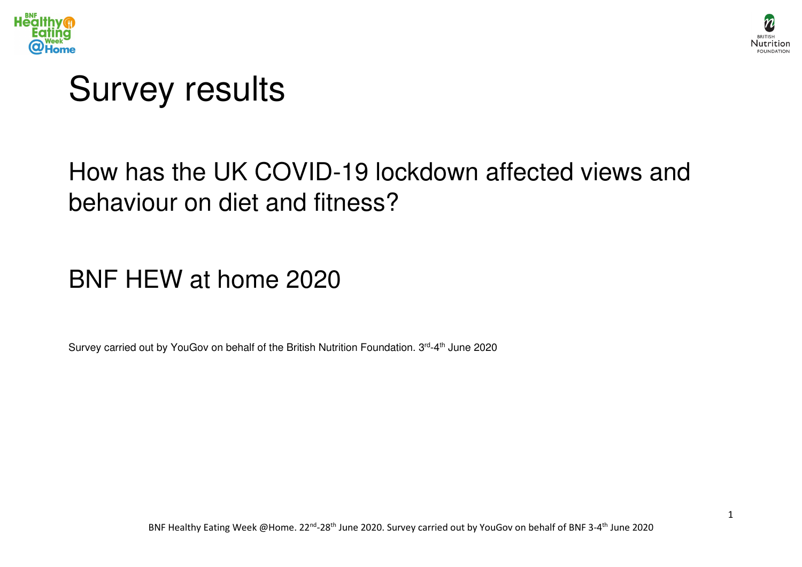



# Survey results

## How has the UK COVID-19 lockdown affected views and behaviour on diet and fitness?

## BNF HEW at home 2020

Survey carried out by YouGov on behalf of the British Nutrition Foundation. 3rd-4<sup>th</sup> June 2020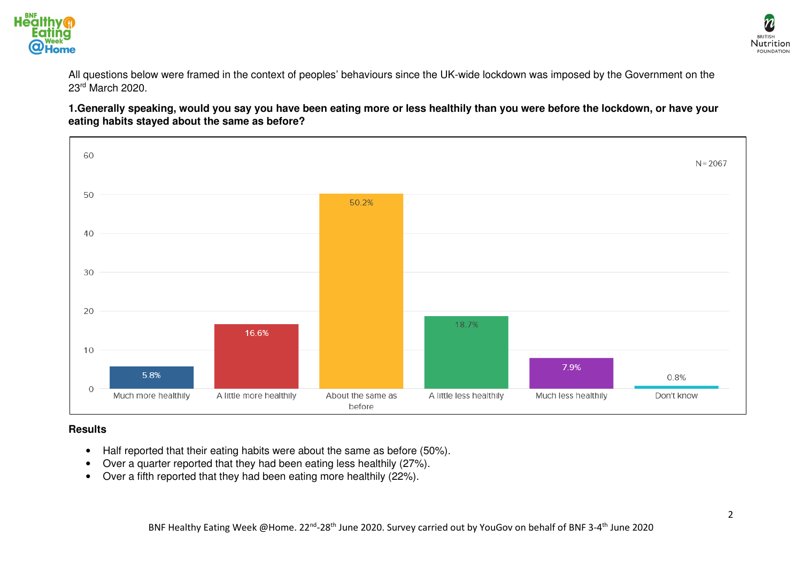



All questions below were framed in the context of peoples' behaviours since the UK-wide lockdown was imposed by the Government on the 23rd March 2020.

**1.Generally speaking, would you say you have been eating more or less healthily than you were before the lockdown, or have your eating habits stayed about the same as before?** 



### **Results**

- Half reported that their eating habits were about the same as before (50%).
- Over a quarter reported that they had been eating less healthily (27%).
- Over a fifth reported that they had been eating more healthily (22%).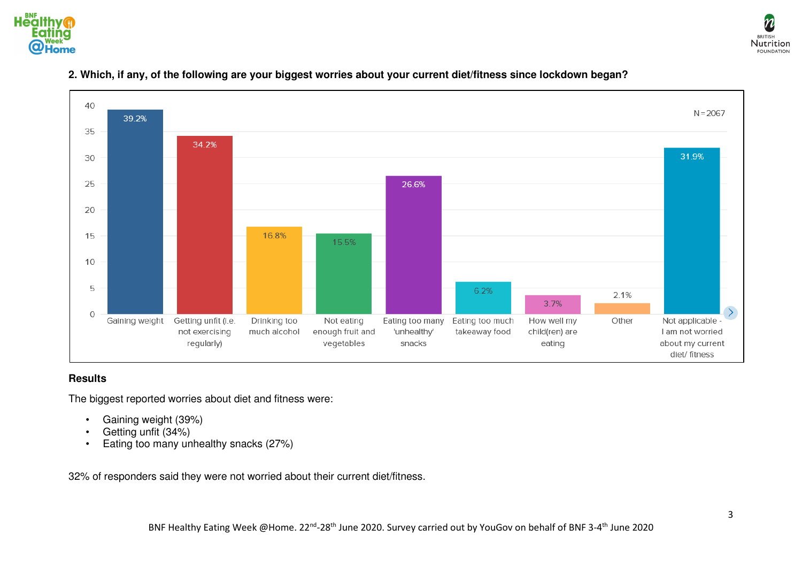





### **2. Which, if any, of the following are your biggest worries about your current diet/fitness since lockdown began?**

#### **Results**

The biggest reported worries about diet and fitness were:

- Gaining weight (39%)
- Getting unfit (34%)
- Eating too many unhealthy snacks (27%)

32% of responders said they were not worried about their current diet/fitness.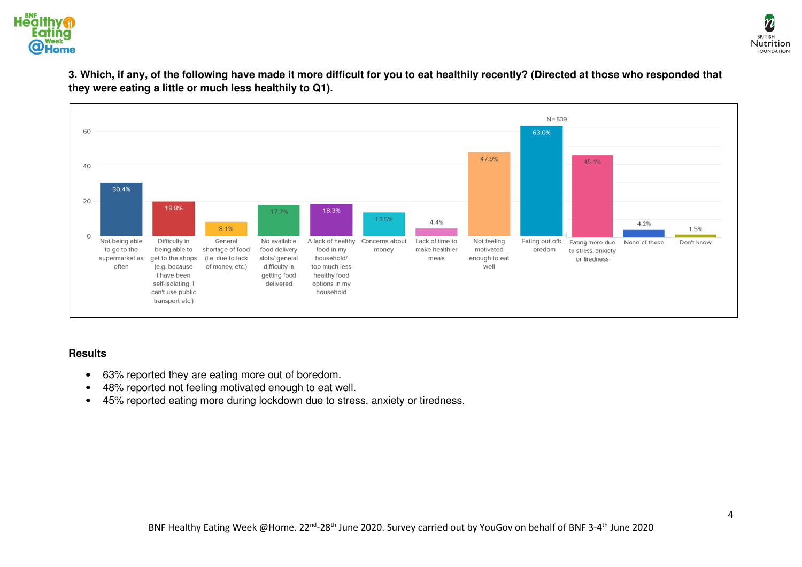



**3. Which, if any, of the following have made it more difficult for you to eat healthily recently? (Directed at those who responded that they were eating a little or much less healthily to Q1).** 



#### **Results**

- 63% reported they are eating more out of boredom.
- 48% reported not feeling motivated enough to eat well.
- 45% reported eating more during lockdown due to stress, anxiety or tiredness.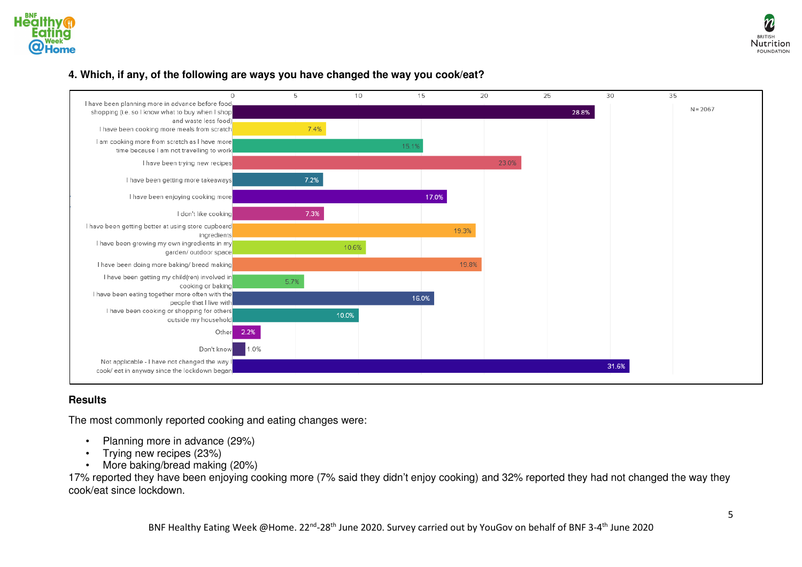







#### **Results**

The most commonly reported cooking and eating changes were:

- Planning more in advance (29%)
- Trying new recipes (23%)
- More baking/bread making (20%)

 17% reported they have been enjoying cooking more (7% said they didn't enjoy cooking) and 32% reported they had not changed the way they cook/eat since lockdown.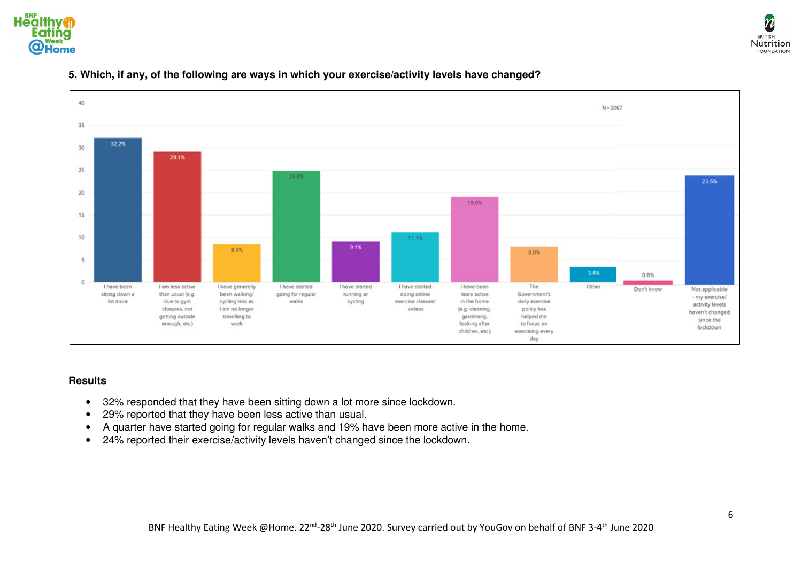



#### 40  $N = 2067$ 35 32.2% 30 29.1% 25 24.8% 23.5% 20 19.0% 15 10 11.1% 9.1% 8.4% 8.0% 5 3.4% 0.8%  $\circ$ Other I have been I am less active I have generally I have started I have started I have started I have been The Don't know Not applicable sitting down a than usual (e.g. been walking/ going for regular running or doing online more active Government's - my exercise/ lot more due to gym cycling less as walks cycling exercise classes/ in the home daily exercise activity levels closures, not I am no longer videos policy has (e.g. cleaning, haven't changed helped me getting outside travelling to gardening. since the enough, etc.) work looking after to focus on lockdown children, etc.) exercising every day

### **5. Which, if any, of the following are ways in which your exercise/activity levels have changed?**

#### **Results**

- 32% responded that they have been sitting down a lot more since lockdown.
- 29% reported that they have been less active than usual.
- A quarter have started going for regular walks and 19% have been more active in the home.
- 24% reported their exercise/activity levels haven't changed since the lockdown.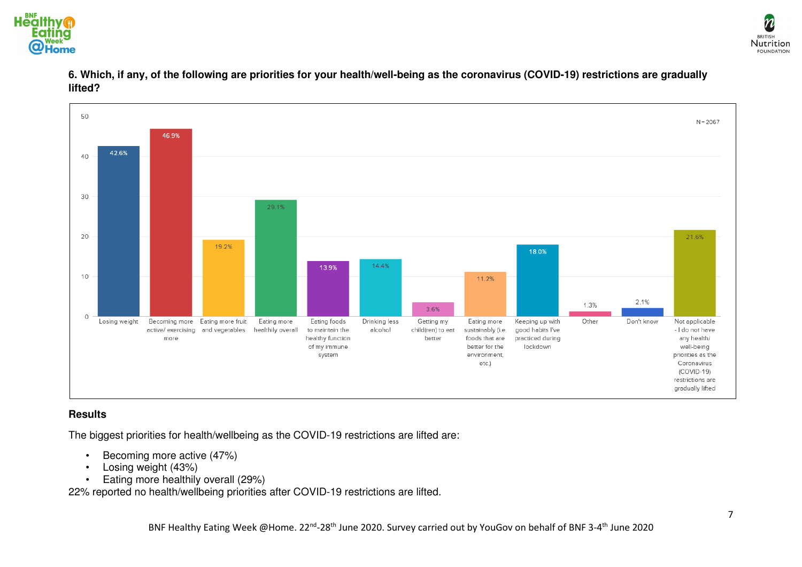







#### **Results**

The biggest priorities for health/wellbeing as the COVID-19 restrictions are lifted are:

- Becoming more active (47%)
- Losing weight (43%)
- Eating more healthily overall (29%)

22% reported no health/wellbeing priorities after COVID-19 restrictions are lifted.